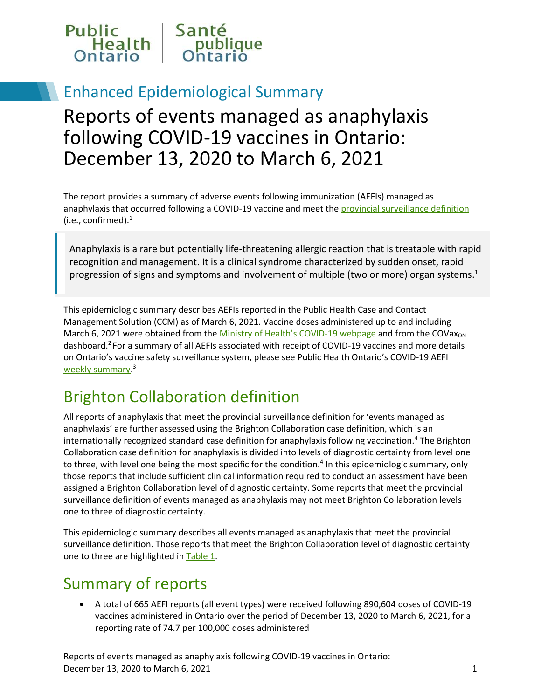

## Enhanced Epidemiological Summary

# Reports of events managed as anaphylaxis following COVID-19 vaccines in Ontario: December 13, 2020 to March 6, 2021

The report provides a summary of adverse events following immunization (AEFIs) managed as anaphylaxis that occurred following a COVID-19 vaccine and meet the provincial surveillance definition (i.e., confirmed). $^1$ 

Anaphylaxis is a rare but potentially life-threatening allergic reaction that is treatable with rapid recognition and management. It is a clinical syndrome characterized by sudden onset, rapid progression of signs and symptoms and involvement of multiple (two or more) organ systems. 1

This epidemiologic summary describes AEFIs reported in the Public Health Case and Contact Management Solution (CCM) as of March 6, 2021. Vaccine doses administered up to and including March 6, 2021 were obtained from the [Ministry of Health's COVID](https://covid-19.ontario.ca/covid-19-vaccines-ontario?gclid=EAIaIQobChMIvM7r4IWU7gIVQuG1Ch2STQVUEAAYASAAEgI3Y_D_BwE#covid-19-immunization-program)-19 webpage and from the COVax<sub>ON</sub> dashboard.<sup>2</sup> For a summary of all AEFIs associated with receipt of COVID-19 vaccines and more details on Ontario's vaccine safety surveillance system, please see Public Health Ontario's COVID-19 AEFI [weekly summary.](https://www.publichealthontario.ca/-/media/documents/ncov/epi/covid-19-aefi-report.pdf?la=en)<sup>3</sup>

## Brighton Collaboration definition

All reports of anaphylaxis that meet the provincial surveillance definition for 'events managed as anaphylaxis' are further assessed using the Brighton Collaboration case definition, which is an internationally recognized standard case definition for anaphylaxis following vaccination.<sup>4</sup> The Brighton Collaboration case definition for anaphylaxis is divided into levels of diagnostic certainty from level one to three, with level one being the most specific for the condition.<sup>4</sup> In this epidemiologic summary, only those reports that include sufficient clinical information required to conduct an assessment have been assigned a Brighton Collaboration level of diagnostic certainty. Some reports that meet the provincial surveillance definition of events managed as anaphylaxis may not meet Brighton Collaboration levels one to three of diagnostic certainty.

This epidemiologic summary describes all events managed as anaphylaxis that meet the provincial surveillance definition. Those reports that meet the Brighton Collaboration level of diagnostic certainty one to three are highlighted in Table 1.

## Summary of reports

 A total of 665 AEFI reports (all event types) were received following 890,604 doses of COVID-19 vaccines administered in Ontario over the period of December 13, 2020 to March 6, 2021, for a reporting rate of 74.7 per 100,000 doses administered

Reports of events managed as anaphylaxis following COVID-19 vaccines in Ontario: **December 13, 2020 to March 6, 2021** 1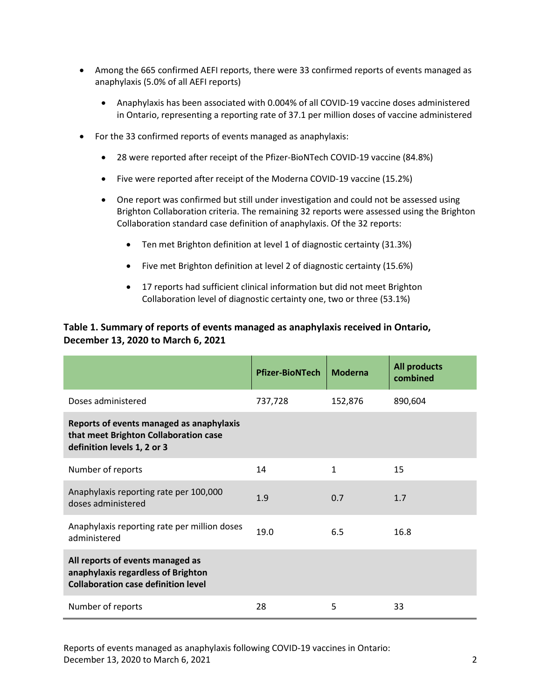- <span id="page-1-0"></span> Among the 665 confirmed AEFI reports, there were 33 confirmed reports of events managed as anaphylaxis (5.0% of all AEFI reports)
	- Anaphylaxis has been associated with 0.004% of all COVID-19 vaccine doses administered in Ontario, representing a reporting rate of 37.1 per million doses of vaccine administered
- For the 33 confirmed reports of events managed as anaphylaxis:
	- 28 were reported after receipt of the Pfizer-BioNTech COVID-19 vaccine (84.8%)
	- Five were reported after receipt of the Moderna COVID-19 vaccine (15.2%)
	- One report was confirmed but still under investigation and could not be assessed using Brighton Collaboration criteria. The remaining 32 reports were assessed using the Brighton Collaboration standard case definition of anaphylaxis. Of the 32 reports:
		- Ten met Brighton definition at level 1 of diagnostic certainty (31.3%)
		- Five met Brighton definition at level 2 of diagnostic certainty (15.6%)
		- 17 reports had sufficient clinical information but did not meet Brighton Collaboration level of diagnostic certainty one, two or three (53.1%)

#### **Table 1. Summary of reports of events managed as anaphylaxis received in Ontario, December 13, 2020 to March 6, 2021**

|                                                                                                                      | <b>Pfizer-BioNTech</b> | <b>Moderna</b> | <b>All products</b><br>combined |
|----------------------------------------------------------------------------------------------------------------------|------------------------|----------------|---------------------------------|
| Doses administered                                                                                                   | 737,728                | 152,876        | 890,604                         |
| Reports of events managed as anaphylaxis<br>that meet Brighton Collaboration case<br>definition levels 1, 2 or 3     |                        |                |                                 |
| Number of reports                                                                                                    | 14                     | $\mathbf{1}$   | 15                              |
| Anaphylaxis reporting rate per 100,000<br>doses administered                                                         | 1.9                    | 0.7            | 1.7                             |
| Anaphylaxis reporting rate per million doses<br>administered                                                         | 19.0<br>6.5            |                | 16.8                            |
| All reports of events managed as<br>anaphylaxis regardless of Brighton<br><b>Collaboration case definition level</b> |                        |                |                                 |
| Number of reports                                                                                                    | 28                     | 5              | 33                              |

Reports of events managed as anaphylaxis following COVID-19 vaccines in Ontario: December 13, 2020 to March 6, 2021 2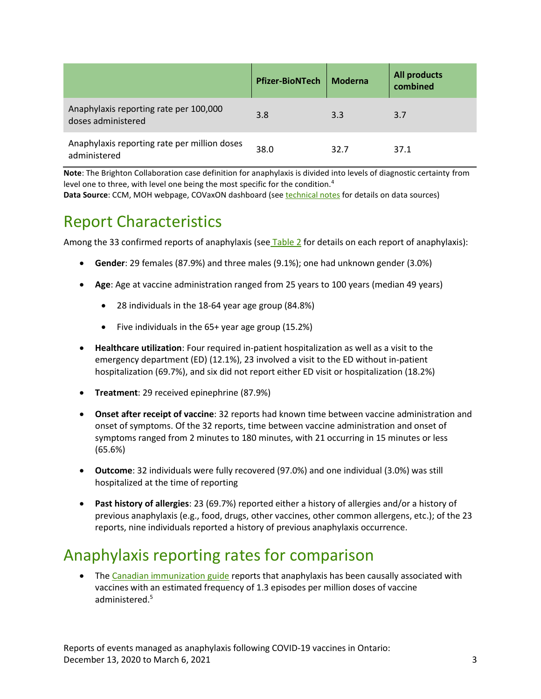|                                                              | <b>Pfizer-BioNTech</b> | <b>Moderna</b> | <b>All products</b><br>combined |
|--------------------------------------------------------------|------------------------|----------------|---------------------------------|
| Anaphylaxis reporting rate per 100,000<br>doses administered | 3.8                    | 3.3            | 3.7                             |
| Anaphylaxis reporting rate per million doses<br>administered | 38.0                   | 32.7           | 37.1                            |

**Note**: The Brighton Collaboration case definition for anaphylaxis is divided into levels of diagnostic certainty from level one to three, with level one being the most specific for the condition.<sup>4</sup>

**Data Source**: CCM, MOH webpage, COVaxON dashboard (se[e technical notes](#page-7-0) for details on data sources)

## Report Characteristics

Among the 33 confirmed reports of anaphylaxis (se[e Table 2](#page-4-0) for details on each report of anaphylaxis):

- **Gender**: 29 females (87.9%) and three males (9.1%); one had unknown gender (3.0%)
- **Age**: Age at vaccine administration ranged from 25 years to 100 years (median 49 years)
	- 28 individuals in the 18-64 year age group (84.8%)
	- Five individuals in the 65+ year age group (15.2%)
- **Healthcare utilization**: Four required in-patient hospitalization as well as a visit to the emergency department (ED) (12.1%), 23 involved a visit to the ED without in-patient hospitalization (69.7%), and six did not report either ED visit or hospitalization (18.2%)
- **Treatment**: 29 received epinephrine (87.9%)
- **Onset after receipt of vaccine**: 32 reports had known time between vaccine administration and onset of symptoms. Of the 32 reports, time between vaccine administration and onset of symptoms ranged from 2 minutes to 180 minutes, with 21 occurring in 15 minutes or less (65.6%)
- **Outcome**: 32 individuals were fully recovered (97.0%) and one individual (3.0%) was still hospitalized at the time of reporting
- **Past history of allergies**: 23 (69.7%) reported either a history of allergies and/or a history of previous anaphylaxis (e.g., food, drugs, other vaccines, other common allergens, etc.); of the 23 reports, nine individuals reported a history of previous anaphylaxis occurrence.

## Anaphylaxis reporting rates for comparison

• The [Canadian immunization guide](https://www.canada.ca/en/public-health/services/publications/healthy-living/canadian-immunization-guide-part-2-vaccine-safety/page-4-early-vaccine-reactions-including-anaphylaxis.html#a7) reports that anaphylaxis has been causally associated with vaccines with an estimated frequency of 1.3 episodes per million doses of vaccine administered.5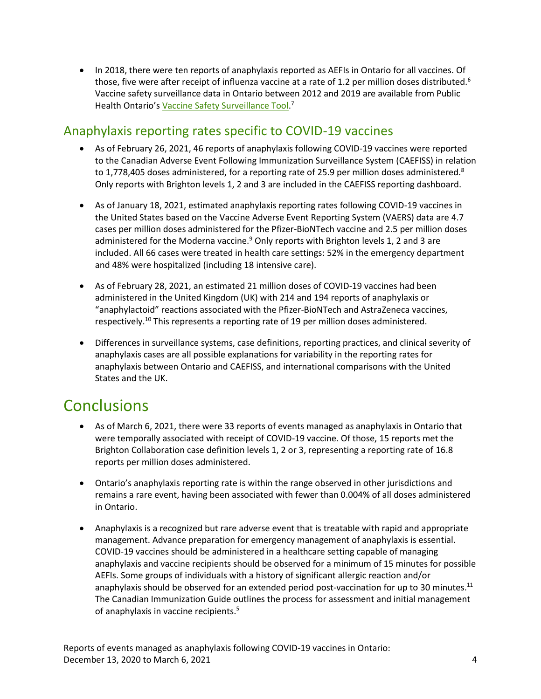• In 2018, there were ten reports of anaphylaxis reported as AEFIs in Ontario for all vaccines. Of those, five were after receipt of influenza vaccine at a rate of 1.2 per million doses distributed.<sup>6</sup> Vaccine safety surveillance data in Ontario between 2012 and 2019 are available from Public Health Ontario's <u>[Vaccine Safety Surveillance Tool.](https://www.publichealthontario.ca/en/data-and-analysis/infectious-disease/vaccine-safety)</u><sup>7</sup>

#### Anaphylaxis reporting rates specific to COVID-19 vaccines

- As of February 26, 2021, 46 reports of anaphylaxis following COVID-19 vaccines were reported to the Canadian Adverse Event Following Immunization Surveillance System (CAEFISS) in relation to 1,778,405 doses administered, for a reporting rate of 25.9 per million doses administered.<sup>8</sup> Only reports with Brighton levels 1, 2 and 3 are included in the CAEFISS reporting dashboard.
- As of January 18, 2021, estimated anaphylaxis reporting rates following COVID-19 vaccines in the United States based on the Vaccine Adverse Event Reporting System (VAERS) data are 4.7 cases per million doses administered for the Pfizer-BioNTech vaccine and 2.5 per million doses administered for the Moderna vaccine.<sup>9</sup> Only reports with Brighton levels 1, 2 and 3 are included. All 66 cases were treated in health care settings: 52% in the emergency department and 48% were hospitalized (including 18 intensive care).
- As of February 28, 2021, an estimated 21 million doses of COVID-19 vaccines had been administered in the United Kingdom (UK) with 214 and 194 reports of anaphylaxis or "anaphylactoid" reactions associated with the Pfizer-BioNTech and AstraZeneca vaccines, respectively.<sup>10</sup> This represents a reporting rate of 19 per million doses administered.
- Differences in surveillance systems, case definitions, reporting practices, and clinical severity of anaphylaxis cases are all possible explanations for variability in the reporting rates for anaphylaxis between Ontario and CAEFISS, and international comparisons with the United States and the UK.

## <span id="page-3-0"></span>**Conclusions**

- As of March 6, 2021, there were 33 reports of events managed as anaphylaxis in Ontario that were temporally associated with receipt of COVID-19 vaccine. Of those, 15 reports met the Brighton Collaboration case definition levels 1, 2 or 3, representing a reporting rate of 16.8 reports per million doses administered.
- Ontario's anaphylaxis reporting rate is within the range observed in other jurisdictions and remains a rare event, having been associated with fewer than 0.004% of all doses administered in Ontario.
- Anaphylaxis is a recognized but rare adverse event that is treatable with rapid and appropriate management. Advance preparation for emergency management of anaphylaxis is essential. COVID-19 vaccines should be administered in a healthcare setting capable of managing anaphylaxis and vaccine recipients should be observed for a minimum of 15 minutes for possible AEFIs. Some groups of individuals with a history of significant allergic reaction and/or anaphylaxis should be observed for an extended period post-vaccination for up to 30 minutes.<sup>11</sup> The Canadian Immunization Guide outlines the process for assessment and initial management of anaphylaxis in vaccine recipients.<sup>5</sup>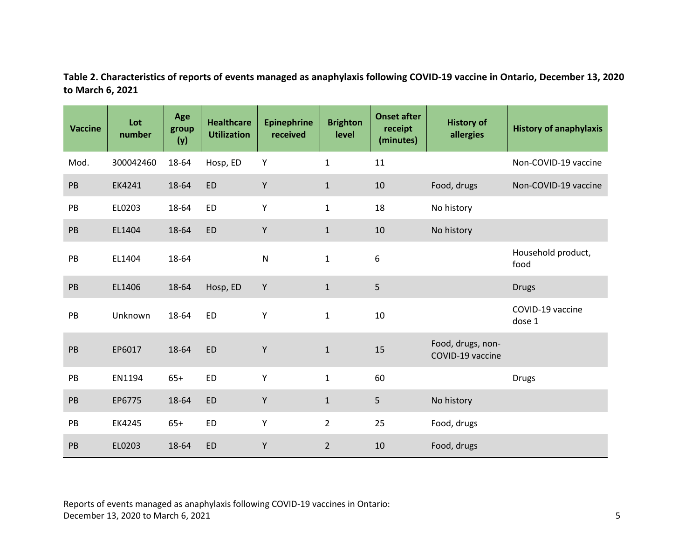**Table 2. Characteristics of reports of events managed as anaphylaxis following COVID-19 vaccine in Ontario, December 13, 2020 to March 6, 2021**

<span id="page-4-0"></span>

| <b>Vaccine</b> | Lot<br>number | Age<br>group<br>(y) | <b>Healthcare</b><br><b>Utilization</b> | <b>Epinephrine</b><br>received | <b>Brighton</b><br>level | <b>Onset after</b><br>receipt<br>(minutes) | <b>History of</b><br>allergies        | <b>History of anaphylaxis</b> |
|----------------|---------------|---------------------|-----------------------------------------|--------------------------------|--------------------------|--------------------------------------------|---------------------------------------|-------------------------------|
| Mod.           | 300042460     | 18-64               | Hosp, ED                                | Y                              | $\mathbf{1}$             | 11                                         |                                       | Non-COVID-19 vaccine          |
| PB             | EK4241        | 18-64               | <b>ED</b>                               | Υ                              | $\mathbf{1}$             | 10                                         | Food, drugs                           | Non-COVID-19 vaccine          |
| PB             | EL0203        | 18-64               | <b>ED</b>                               | Υ                              | $\mathbf{1}$             | 18                                         | No history                            |                               |
| PB             | EL1404        | 18-64               | <b>ED</b>                               | Υ                              | $\mathbf{1}$             | 10                                         | No history                            |                               |
| PB             | EL1404        | 18-64               |                                         | ${\sf N}$                      | $\mathbf{1}$             | 6                                          |                                       | Household product,<br>food    |
| PB             | EL1406        | 18-64               | Hosp, ED                                | Y                              | $\mathbf{1}$             | 5                                          |                                       | <b>Drugs</b>                  |
| PB             | Unknown       | 18-64               | <b>ED</b>                               | Υ                              | $\mathbf{1}$             | 10                                         |                                       | COVID-19 vaccine<br>dose 1    |
| PB             | EP6017        | 18-64               | <b>ED</b>                               | Y                              | $\mathbf 1$              | 15                                         | Food, drugs, non-<br>COVID-19 vaccine |                               |
| PB             | EN1194        | $65+$               | <b>ED</b>                               | Y                              | $\mathbf{1}$             | 60                                         |                                       | <b>Drugs</b>                  |
| PB             | EP6775        | 18-64               | <b>ED</b>                               | Υ                              | $\mathbf{1}$             | 5                                          | No history                            |                               |
| PB             | EK4245        | $65+$               | <b>ED</b>                               | Υ                              | $\overline{2}$           | 25                                         | Food, drugs                           |                               |
| PB             | EL0203        | 18-64               | <b>ED</b>                               | Υ                              | $\overline{2}$           | 10                                         | Food, drugs                           |                               |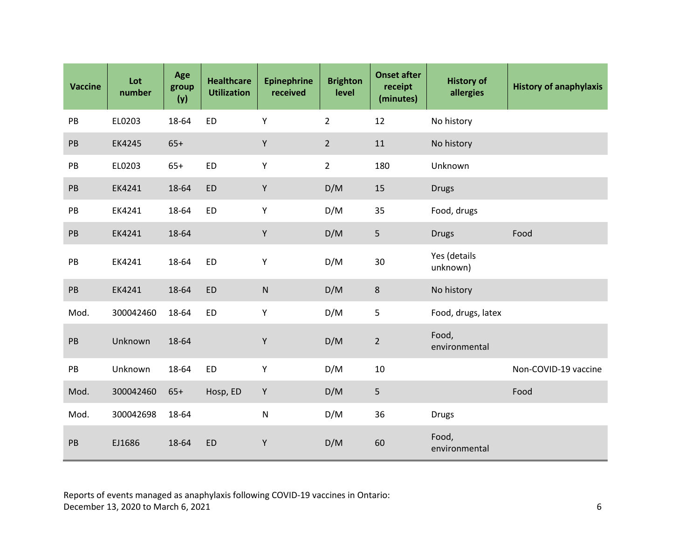| <b>Vaccine</b> | Lot<br>number | Age<br>group<br>(y) | <b>Healthcare</b><br><b>Utilization</b> | <b>Epinephrine</b><br>received | <b>Brighton</b><br>level | <b>Onset after</b><br>receipt<br>(minutes) | <b>History of</b><br>allergies | <b>History of anaphylaxis</b> |
|----------------|---------------|---------------------|-----------------------------------------|--------------------------------|--------------------------|--------------------------------------------|--------------------------------|-------------------------------|
| PB             | EL0203        | 18-64               | <b>ED</b>                               | Y                              | $\overline{2}$           | 12                                         | No history                     |                               |
| PB             | EK4245        | $65+$               |                                         | Y                              | $\overline{2}$           | 11                                         | No history                     |                               |
| PB             | EL0203        | $65+$               | ED                                      | Υ                              | $\overline{2}$           | 180                                        | Unknown                        |                               |
| PB             | EK4241        | 18-64               | <b>ED</b>                               | Y                              | D/M                      | 15                                         | <b>Drugs</b>                   |                               |
| PB             | EK4241        | 18-64               | <b>ED</b>                               | Υ                              | D/M                      | 35                                         | Food, drugs                    |                               |
| PB             | EK4241        | 18-64               |                                         | Y                              | D/M                      | 5                                          | <b>Drugs</b>                   | Food                          |
| $\mathsf{PB}$  | EK4241        | 18-64               | <b>ED</b>                               | Υ                              | D/M                      | 30                                         | Yes (details<br>unknown)       |                               |
| PB             | EK4241        | 18-64               | <b>ED</b>                               | ${\sf N}$                      | D/M                      | 8                                          | No history                     |                               |
| Mod.           | 300042460     | 18-64               | <b>ED</b>                               | Υ                              | D/M                      | 5                                          | Food, drugs, latex             |                               |
| $\mathsf{PB}$  | Unknown       | 18-64               |                                         | Υ                              | D/M                      | $\overline{2}$                             | Food,<br>environmental         |                               |
| PB             | Unknown       | 18-64               | <b>ED</b>                               | Y                              | D/M                      | $10\,$                                     |                                | Non-COVID-19 vaccine          |
| Mod.           | 300042460     | $65+$               | Hosp, ED                                | Y                              | D/M                      | 5                                          |                                | Food                          |
| Mod.           | 300042698     | 18-64               |                                         | ${\sf N}$                      | D/M                      | 36                                         | <b>Drugs</b>                   |                               |
| PB             | EJ1686        | 18-64               | <b>ED</b>                               | $\mathsf Y$                    | D/M                      | 60                                         | Food,<br>environmental         |                               |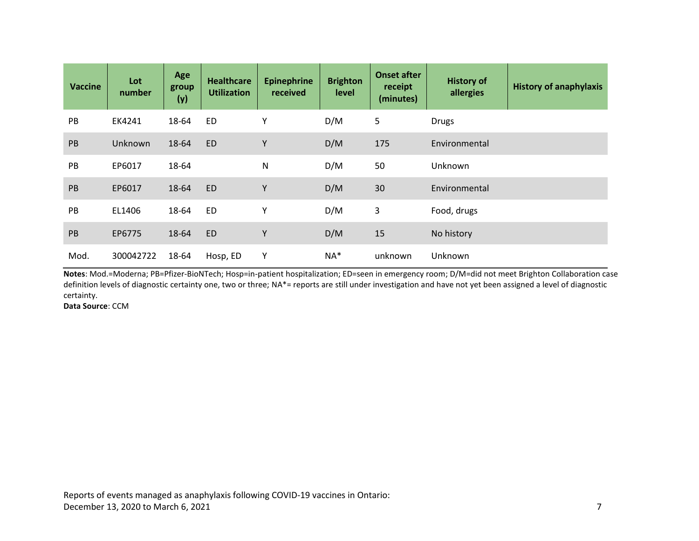| <b>Vaccine</b> | Lot<br>number | Age<br>group<br>(y) | <b>Healthcare</b><br><b>Utilization</b> | <b>Epinephrine</b><br>received | <b>Brighton</b><br>level | <b>Onset after</b><br>receipt<br>(minutes) | <b>History of</b><br>allergies | <b>History of anaphylaxis</b> |
|----------------|---------------|---------------------|-----------------------------------------|--------------------------------|--------------------------|--------------------------------------------|--------------------------------|-------------------------------|
| PB             | EK4241        | 18-64               | ED                                      | Υ                              | D/M                      | 5                                          | <b>Drugs</b>                   |                               |
| PB             | Unknown       | 18-64               | <b>ED</b>                               | Υ                              | D/M                      | 175                                        | Environmental                  |                               |
| PB             | EP6017        | 18-64               |                                         | $\mathsf{N}$                   | D/M                      | 50                                         | <b>Unknown</b>                 |                               |
| PB             | EP6017        | 18-64               | <b>ED</b>                               | Y                              | D/M                      | 30                                         | Environmental                  |                               |
| PB             | EL1406        | 18-64               | <b>ED</b>                               | Υ                              | D/M                      | 3                                          | Food, drugs                    |                               |
| PB             | EP6775        | 18-64               | <b>ED</b>                               | Y                              | D/M                      | 15                                         | No history                     |                               |
| Mod.           | 300042722     | 18-64               | Hosp, ED                                | Υ                              | $NA*$                    | unknown                                    | Unknown                        |                               |

**Notes**: Mod.=Moderna; PB=Pfizer-BioNTech; Hosp=in-patient hospitalization; ED=seen in emergency room; D/M=did not meet Brighton Collaboration case definition levels of diagnostic certainty one, two or three; NA\*= reports are still under investigation and have not yet been assigned a level of diagnostic certainty.

**Data Source**: CCM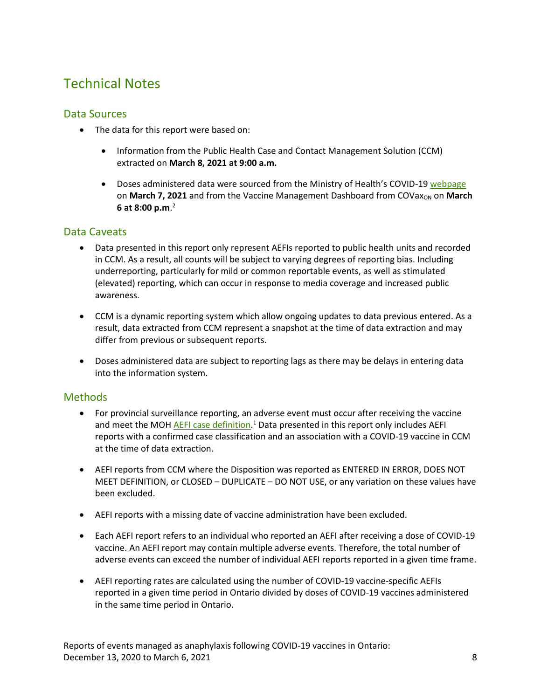### Technical Notes

#### <span id="page-7-0"></span>Data Sources

- The data for this report were based on:
	- Information from the Public Health Case and Contact Management Solution (CCM) extracted on **March 8, 2021 at 9:00 a.m.**
	- Doses administered data were sourced from the Ministry of Health's COVID-19 [webpage](https://covid-19.ontario.ca/covid-19-vaccines-ontario?gclid=EAIaIQobChMIvM7r4IWU7gIVQuG1Ch2STQVUEAAYASAAEgI3Y_D_BwE#covid-19-immunization-program) on **March 7, 2021** and from the Vaccine Management Dashboard from COVax<sub>ON</sub> on March **6 at 8:00 p.m**. 2

#### Data Caveats

- Data presented in this report only represent AEFIs reported to public health units and recorded in CCM. As a result, all counts will be subject to varying degrees of reporting bias. Including underreporting, particularly for mild or common reportable events, as well as stimulated (elevated) reporting, which can occur in response to media coverage and increased public awareness.
- CCM is a dynamic reporting system which allow ongoing updates to data previous entered. As a result, data extracted from CCM represent a snapshot at the time of data extraction and may differ from previous or subsequent reports.
- Doses administered data are subject to reporting lags as there may be delays in entering data into the information system.

#### Methods

- For provincial surveillance reporting, an adverse event must occur after receiving the vaccine and meet the MOH *AEFI case definition*.<sup>1</sup> Data presented in this report only includes AEFI reports with a confirmed case classification and an association with a COVID-19 vaccine in CCM at the time of data extraction.
- AEFI reports from CCM where the Disposition was reported as ENTERED IN ERROR, DOES NOT MEET DEFINITION, or CLOSED – DUPLICATE – DO NOT USE, or any variation on these values have been excluded.
- AEFI reports with a missing date of vaccine administration have been excluded.
- Each AEFI report refers to an individual who reported an AEFI after receiving a dose of COVID-19 vaccine. An AEFI report may contain multiple adverse events. Therefore, the total number of adverse events can exceed the number of individual AEFI reports reported in a given time frame.
- AEFI reporting rates are calculated using the number of COVID-19 vaccine-specific AEFIs reported in a given time period in Ontario divided by doses of COVID-19 vaccines administered in the same time period in Ontario.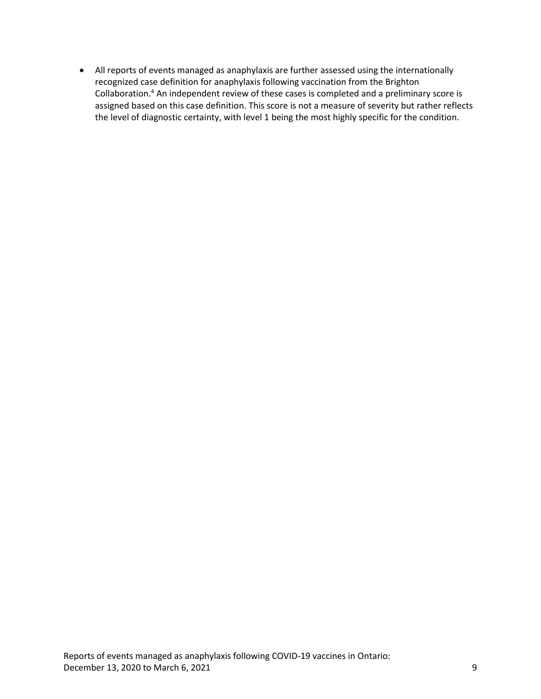All reports of events managed as anaphylaxis are further assessed using the internationally recognized case definition for anaphylaxis following vaccination from the Brighton Collaboration.<sup>4</sup> An independent review of these cases is completed and a preliminary score is assigned based on this case definition. This score is not a measure of severity but rather reflects the level of diagnostic certainty, with level 1 being the most highly specific for the condition.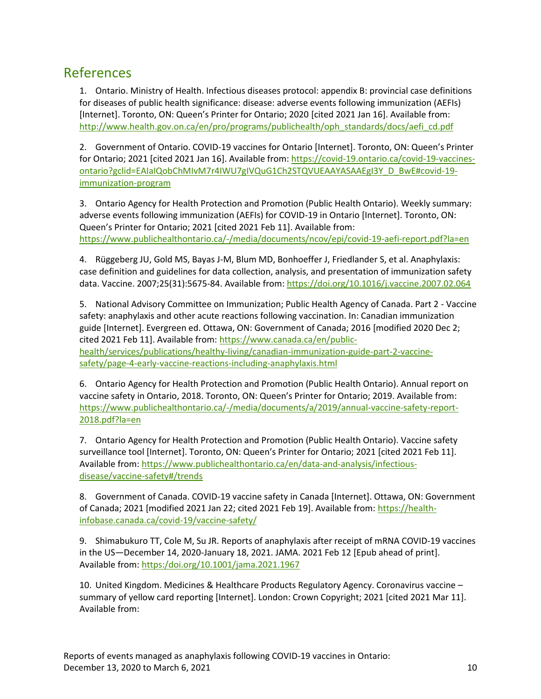#### References

1. Ontario. Ministry of Health. Infectious diseases protocol: appendix B: provincial case definitions for diseases of public health significance: disease: adverse events following immunization (AEFIs) [Internet]. Toronto, ON: Queen's Printer for Ontario; 2020 [cited 2021 Jan 16]. Available from: [http://www.health.gov.on.ca/en/pro/programs/publichealth/oph\\_standards/docs/aefi\\_cd.pdf](http://www.health.gov.on.ca/en/pro/programs/publichealth/oph_standards/docs/aefi_cd.pdf)

2. Government of Ontario. COVID-19 vaccines for Ontario [Internet]. Toronto, ON: Queen's Printer for Ontario; 2021 [cited 2021 Jan 16]. Available from[: https://covid-19.ontario.ca/covid-19-vaccines](https://covid-19.ontario.ca/covid-19-vaccines-ontario?gclid=EAIaIQobChMIvM7r4IWU7gIVQuG1Ch2STQVUEAAYASAAEgI3Y_D_BwE#covid-19-immunization-program)[ontario?gclid=EAIaIQobChMIvM7r4IWU7gIVQuG1Ch2STQVUEAAYASAAEgI3Y\\_D\\_BwE#covid-19](https://covid-19.ontario.ca/covid-19-vaccines-ontario?gclid=EAIaIQobChMIvM7r4IWU7gIVQuG1Ch2STQVUEAAYASAAEgI3Y_D_BwE#covid-19-immunization-program) [immunization-program](https://covid-19.ontario.ca/covid-19-vaccines-ontario?gclid=EAIaIQobChMIvM7r4IWU7gIVQuG1Ch2STQVUEAAYASAAEgI3Y_D_BwE#covid-19-immunization-program)

3. Ontario Agency for Health Protection and Promotion (Public Health Ontario). Weekly summary: adverse events following immunization (AEFIs) for COVID-19 in Ontario [Internet]. Toronto, ON: Queen's Printer for Ontario; 2021 [cited 2021 Feb 11]. Available from: <https://www.publichealthontario.ca/-/media/documents/ncov/epi/covid-19-aefi-report.pdf?la=en>

4. Rüggeberg JU, Gold MS, Bayas J-M, Blum MD, Bonhoeffer J, Friedlander S, et al. Anaphylaxis: case definition and guidelines for data collection, analysis, and presentation of immunization safety data. Vaccine. 2007;25(31):5675-84. Available from[: https://doi.org/10.1016/j.vaccine.2007.02.064](https://doi.org/10.1016/j.vaccine.2007.02.064)

5. National Advisory Committee on Immunization; Public Health Agency of Canada. Part 2 - Vaccine safety: anaphylaxis and other acute reactions following vaccination. In: Canadian immunization guide [Internet]. Evergreen ed. Ottawa, ON: Government of Canada; 2016 [modified 2020 Dec 2; cited 2021 Feb 11]. Available from: [https://www.canada.ca/en/public](https://www.canada.ca/en/public-health/services/publications/healthy-living/canadian-immunization-guide-part-2-vaccine-safety/page-4-early-vaccine-reactions-including-anaphylaxis.html)[health/services/publications/healthy-living/canadian-immunization-guide-part-2-vaccine](https://www.canada.ca/en/public-health/services/publications/healthy-living/canadian-immunization-guide-part-2-vaccine-safety/page-4-early-vaccine-reactions-including-anaphylaxis.html)[safety/page-4-early-vaccine-reactions-including-anaphylaxis.html](https://www.canada.ca/en/public-health/services/publications/healthy-living/canadian-immunization-guide-part-2-vaccine-safety/page-4-early-vaccine-reactions-including-anaphylaxis.html) 

6. Ontario Agency for Health Protection and Promotion (Public Health Ontario). Annual report on vaccine safety in Ontario, 2018. Toronto, ON: Queen's Printer for Ontario; 2019. Available from: [https://www.publichealthontario.ca/-/media/documents/a/2019/annual-vaccine-safety-report-](https://www.publichealthontario.ca/-/media/documents/a/2019/annual-vaccine-safety-report-2018.pdf?la=en)[2018.pdf?la=en](https://www.publichealthontario.ca/-/media/documents/a/2019/annual-vaccine-safety-report-2018.pdf?la=en)

7. Ontario Agency for Health Protection and Promotion (Public Health Ontario). Vaccine safety surveillance tool [Internet]. Toronto, ON: Queen's Printer for Ontario; 2021 [cited 2021 Feb 11]. Available from: [https://www.publichealthontario.ca/en/data-and-analysis/infectious](https://www.publichealthontario.ca/en/data-and-analysis/infectious-disease/vaccine-safety#/trends)[disease/vaccine-safety#/trends](https://www.publichealthontario.ca/en/data-and-analysis/infectious-disease/vaccine-safety#/trends)

8. Government of Canada. COVID-19 vaccine safety in Canada [Internet]. Ottawa, ON: Government of Canada; 2021 [modified 2021 Jan 22; cited 2021 Feb 19]. Available from[: https://health](https://health-infobase.canada.ca/covid-19/vaccine-safety/)[infobase.canada.ca/covid-19/vaccine-safety/](https://health-infobase.canada.ca/covid-19/vaccine-safety/)

9. Shimabukuro TT, Cole M, Su JR. Reports of anaphylaxis after receipt of mRNA COVID-19 vaccines in the US—December 14, 2020-January 18, 2021. JAMA. 2021 Feb 12 [Epub ahead of print]. Available from: [https:/doi.org/10.1001/jama.2021.1967](https://doi.org/10.1001/jama.2021.1967)

10. United Kingdom. Medicines & Healthcare Products Regulatory Agency. Coronavirus vaccine – summary of yellow card reporting [Internet]. London: Crown Copyright; 2021 [cited 2021 Mar 11]. Available from: